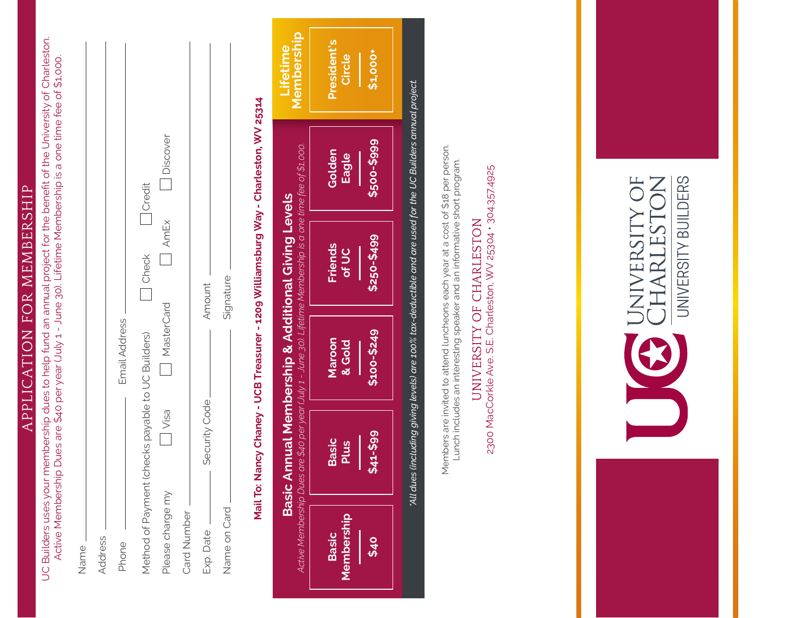| ļ                           |  |
|-----------------------------|--|
|                             |  |
|                             |  |
|                             |  |
|                             |  |
| トトト くししにんしゅじん               |  |
|                             |  |
|                             |  |
|                             |  |
|                             |  |
|                             |  |
|                             |  |
| んくり                         |  |
|                             |  |
|                             |  |
|                             |  |
| トメ(トトー                      |  |
|                             |  |
|                             |  |
|                             |  |
| $\sim$ $\sim$ $\sim$ $\sim$ |  |
|                             |  |
|                             |  |
|                             |  |
|                             |  |
|                             |  |
|                             |  |
|                             |  |
|                             |  |
|                             |  |
|                             |  |
|                             |  |
|                             |  |

| our membership dues to help fund an annual project for the benefit of the University of Charlestor | er year (July 1 - June 30). Lifetime Membership is a one time fee of \$1,000.<br>sulb Dnes are \$40 be<br>Ĺ |
|----------------------------------------------------------------------------------------------------|-------------------------------------------------------------------------------------------------------------|
|                                                                                                    | IN ANIT                                                                                                     |

| Discover<br>Credit<br>AmEx<br>  Check<br>Amount<br>MasterCard<br>Email Address<br>Method of Payment (checks payable to UC Builders)<br>Security Code_<br>i Visa<br>Please charge my<br>Card Number<br>Exp. Date<br>Address<br>Phone<br>Name | Signature<br>Name on Card |
|---------------------------------------------------------------------------------------------------------------------------------------------------------------------------------------------------------------------------------------------|---------------------------|
|                                                                                                                                                                                                                                             |                           |
|                                                                                                                                                                                                                                             |                           |
|                                                                                                                                                                                                                                             |                           |
|                                                                                                                                                                                                                                             |                           |
|                                                                                                                                                                                                                                             |                           |
|                                                                                                                                                                                                                                             |                           |
|                                                                                                                                                                                                                                             |                           |
|                                                                                                                                                                                                                                             |                           |

## NAGINE CONSPIRENCY - A READ STATE TO SOME THE STATE OF A READ TO A READ THAT SALES IN THE STATE OF A READ TO A READ TO A READ TO BE SALED A READ OF THE STATE OF A READ OF THE STATE OF THE STATE OF THE STATE OF THE STATE OF **Mail To: Nancy Chaney - UCB Treasurer - 1209 Williamsburg Way - Charleston, WV 25314**



'All dues (including giving levels) are 100% tax-deductible and are used for the UC Builders annual project. *\*All dues (including giving levels) are 100% tax-deductible and are used for the UC Builders annual project.*

Members are invited to attend luncheons each year at a cost of \$18 per person. Members are invited to attend luncheons each year at a cost of \$18 per person. Lunch includes an interesting speaker and an informative short program. Lunch includes an interesting speaker and an informative short program.

2300 MacCorkle Ave. S.E. Charleston, WV 25304 · 304.357.4925 UNIVERSITY OF CHARLESTON UNIVERSITY OF CHARLESTON

2300 MacCorkle Ave. S.E. Charleston, WV 25304 • 304.357.4925

JNIVERSITY OF<br>CHARLESTON

UNIVERSITY BUILDERS